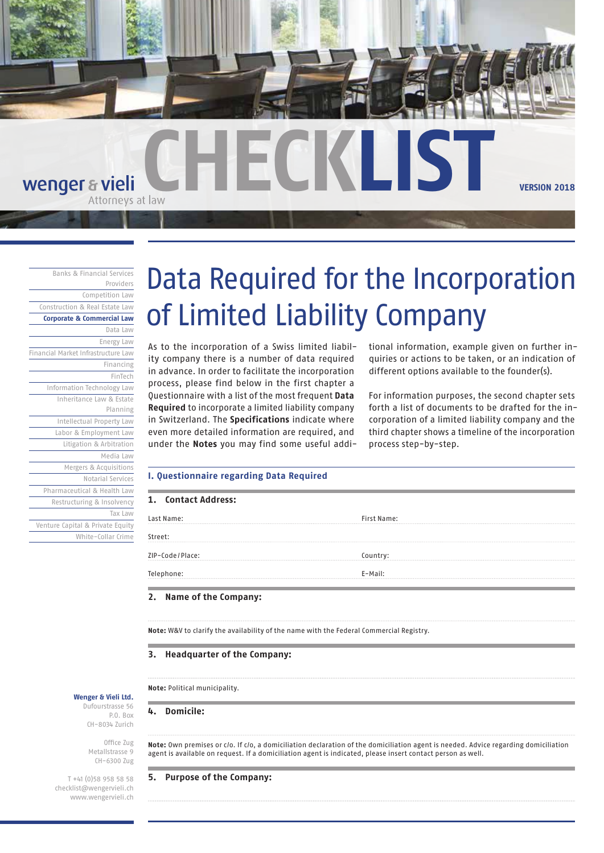

# wenger & vieli

Banks & Financial Services Providers Competition Law Construction & Real Estate Law **Corporate & Commercial Law** Data Law Energy Law Financial Market Infrastructure Law Financing FinTech Information Technology Law Inheritance Law & Estate Planning Intellectual Property Law Labor & Employment Law Litigation & Arbitration Media Law Mergers & Acquisitions Notarial Services Pharmaceutical & Health Law Restructuring & Insolvency Tax Law Venture Capital & Private Equity White-Collar Crime

# Data Required for the Incorporation of Limited Liability Company

As to the incorporation of a Swiss limited liability company there is a number of data required in advance. In order to facilitate the incorporation process, please find below in the first chapter a Questionnaire with a list of the most frequent **Data Required** to incorporate a limited liability company in Switzerland. The **Specifications** indicate where even more detailed information are required, and under the **Notes** you may find some useful additional information, example given on further inquiries or actions to be taken, or an indication of different options available to the founder(s).

For information purposes, the second chapter sets forth a list of documents to be drafted for the incorporation of a limited liability company and the third chapter shows a timeline of the incorporation process step-by-step.

#### **I. Questionnaire regarding Data Required**

| 1. Contact Address: |                    |
|---------------------|--------------------|
| Last Name:          | <b>First Name:</b> |
| Street:             |                    |
| ZIP-Code/Place:     | Country:           |
| Telephone:          | E-Mail:            |

### **2. Name of the Company:**

**Note:** W&V to clarify the availability of the name with the Federal Commercial Registry.

#### **3. Headquarter of the Company:**

**Note:** Political municipality.

**4. Domicile:**

**Note:** Own premises or c/o. If c/o, a domiciliation declaration of the domiciliation agent is needed. Advice regarding domiciliation agent is available on request. If a domiciliation agent is indicated, please insert contact person as well.

#### **5. Purpose of the Company:**

**Wenger & Vieli Ltd.** Dufourstrasse 56 P.O. Box CH-8034 Zurich

> Office Zug Metallstrasse 9 CH-6300 Zug

T +41 (0)58 958 58 58 checklist@wengervieli.ch www.wengervieli.ch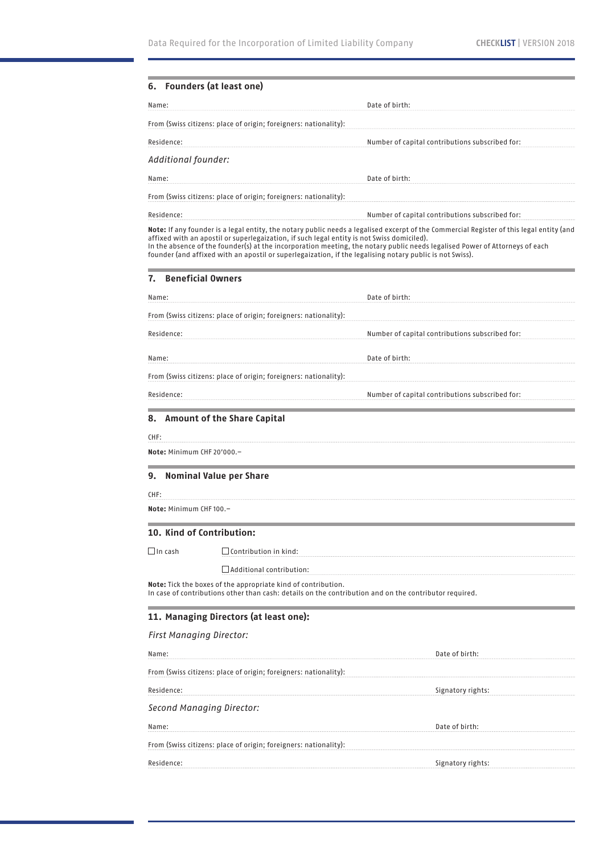|                                  | <b>Founders (at least one)</b>                                                                                                                                                                                                                                                                                                                                                                                                                                                    |                                                 |
|----------------------------------|-----------------------------------------------------------------------------------------------------------------------------------------------------------------------------------------------------------------------------------------------------------------------------------------------------------------------------------------------------------------------------------------------------------------------------------------------------------------------------------|-------------------------------------------------|
| Name:                            | Date of birth:                                                                                                                                                                                                                                                                                                                                                                                                                                                                    |                                                 |
|                                  | From (Swiss citizens: place of origin; foreigners: nationality):                                                                                                                                                                                                                                                                                                                                                                                                                  |                                                 |
| Residence:                       |                                                                                                                                                                                                                                                                                                                                                                                                                                                                                   | Number of capital contributions subscribed for: |
| Additional founder:              |                                                                                                                                                                                                                                                                                                                                                                                                                                                                                   |                                                 |
| Name:                            | Date of birth:                                                                                                                                                                                                                                                                                                                                                                                                                                                                    |                                                 |
|                                  | From (Swiss citizens: place of origin; foreigners: nationality):                                                                                                                                                                                                                                                                                                                                                                                                                  |                                                 |
| Residence:                       |                                                                                                                                                                                                                                                                                                                                                                                                                                                                                   | Number of capital contributions subscribed for: |
|                                  | Note: If any founder is a legal entity, the notary public needs a legalised excerpt of the Commercial Register of this legal entity (and<br>affixed with an apostil or superlegaization, if such legal entity is not Swiss domiciled).<br>In the absence of the founder(s) at the incorporation meeting, the notary public needs legalised Power of Attorneys of each<br>founder (and affixed with an apostil or superlegaization, if the legalising notary public is not Swiss). |                                                 |
| 7.                               | <b>Beneficial Owners</b>                                                                                                                                                                                                                                                                                                                                                                                                                                                          |                                                 |
| Name:                            | Date of birth:                                                                                                                                                                                                                                                                                                                                                                                                                                                                    |                                                 |
|                                  | From (Swiss citizens: place of origin; foreigners: nationality):                                                                                                                                                                                                                                                                                                                                                                                                                  |                                                 |
| Residence:                       |                                                                                                                                                                                                                                                                                                                                                                                                                                                                                   | Number of capital contributions subscribed for: |
| Name:                            | Date of birth:                                                                                                                                                                                                                                                                                                                                                                                                                                                                    |                                                 |
|                                  | From (Swiss citizens: place of origin; foreigners: nationality):                                                                                                                                                                                                                                                                                                                                                                                                                  |                                                 |
| Residence:                       |                                                                                                                                                                                                                                                                                                                                                                                                                                                                                   | Number of capital contributions subscribed for: |
| Note: Minimum CHF 20'000.-<br>9. | <b>Nominal Value per Share</b>                                                                                                                                                                                                                                                                                                                                                                                                                                                    |                                                 |
| CHF:                             |                                                                                                                                                                                                                                                                                                                                                                                                                                                                                   |                                                 |
| Note: Minimum CHF 100.-          |                                                                                                                                                                                                                                                                                                                                                                                                                                                                                   |                                                 |
|                                  | 10. Kind of Contribution:                                                                                                                                                                                                                                                                                                                                                                                                                                                         |                                                 |
|                                  | $\Box$ Contribution in kind:                                                                                                                                                                                                                                                                                                                                                                                                                                                      |                                                 |
|                                  |                                                                                                                                                                                                                                                                                                                                                                                                                                                                                   |                                                 |
| $\Box$ In cash                   | $\Box$ Additional contribution:                                                                                                                                                                                                                                                                                                                                                                                                                                                   |                                                 |
|                                  | Note: Tick the boxes of the appropriate kind of contribution.<br>In case of contributions other than cash: details on the contribution and on the contributor required.                                                                                                                                                                                                                                                                                                           |                                                 |
|                                  | 11. Managing Directors (at least one):                                                                                                                                                                                                                                                                                                                                                                                                                                            |                                                 |
| <b>First Managing Director:</b>  |                                                                                                                                                                                                                                                                                                                                                                                                                                                                                   |                                                 |
|                                  |                                                                                                                                                                                                                                                                                                                                                                                                                                                                                   | Date of birth:                                  |
|                                  | From (Swiss citizens: place of origin; foreigners: nationality):                                                                                                                                                                                                                                                                                                                                                                                                                  |                                                 |
|                                  |                                                                                                                                                                                                                                                                                                                                                                                                                                                                                   | Signatory rights:                               |
|                                  | Second Managing Director:                                                                                                                                                                                                                                                                                                                                                                                                                                                         |                                                 |
| Name:<br>Residence:<br>Name:     |                                                                                                                                                                                                                                                                                                                                                                                                                                                                                   | Date of birth:                                  |
|                                  | From (Swiss citizens: place of origin; foreigners: nationality):                                                                                                                                                                                                                                                                                                                                                                                                                  |                                                 |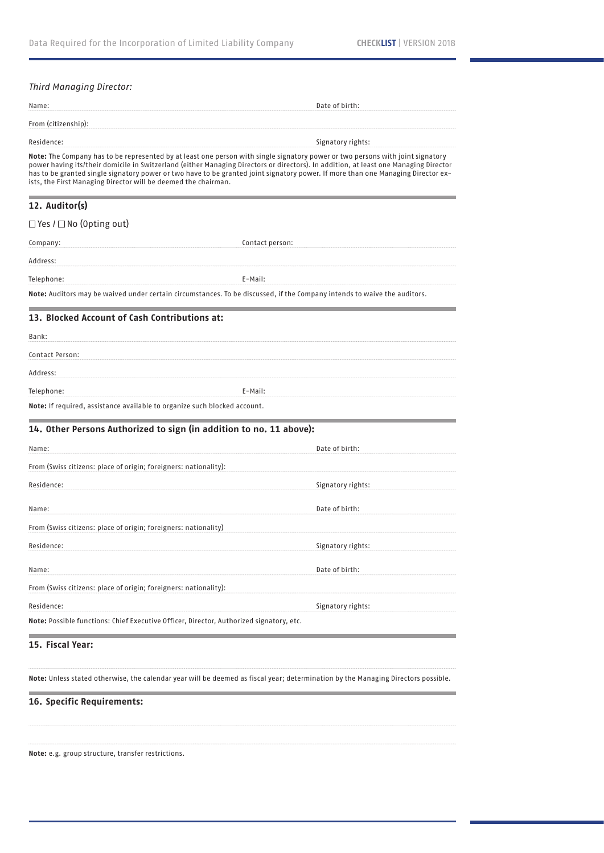| <b>Third Managing Director:</b>                                           |                                                                                                                                                                                                                                                                                                                                                                                                            |
|---------------------------------------------------------------------------|------------------------------------------------------------------------------------------------------------------------------------------------------------------------------------------------------------------------------------------------------------------------------------------------------------------------------------------------------------------------------------------------------------|
| Name:                                                                     | Date of birth:                                                                                                                                                                                                                                                                                                                                                                                             |
| From (citizenship):                                                       |                                                                                                                                                                                                                                                                                                                                                                                                            |
| Residence:                                                                | Signatory rights:                                                                                                                                                                                                                                                                                                                                                                                          |
| ists, the First Managing Director will be deemed the chairman.            | Note: The Company has to be represented by at least one person with single signatory power or two persons with joint signatory<br>power having its/their domicile in Switzerland (either Managing Directors or directors). In addition, at least one Managing Director<br>has to be granted single signatory power or two have to be granted joint signatory power. If more than one Managing Director ex- |
| 12. Auditor(s)                                                            |                                                                                                                                                                                                                                                                                                                                                                                                            |
| $\Box$ Yes $I \Box$ No (Opting out)                                       |                                                                                                                                                                                                                                                                                                                                                                                                            |
| Company:                                                                  | Contact person:                                                                                                                                                                                                                                                                                                                                                                                            |
| Address:                                                                  |                                                                                                                                                                                                                                                                                                                                                                                                            |
| Telephone:                                                                | E-Mail:                                                                                                                                                                                                                                                                                                                                                                                                    |
|                                                                           | Note: Auditors may be waived under certain circumstances. To be discussed, if the Company intends to waive the auditors.                                                                                                                                                                                                                                                                                   |
| 13. Blocked Account of Cash Contributions at:                             |                                                                                                                                                                                                                                                                                                                                                                                                            |
| Bank:                                                                     |                                                                                                                                                                                                                                                                                                                                                                                                            |
| Contact Person:                                                           |                                                                                                                                                                                                                                                                                                                                                                                                            |
| Address:                                                                  |                                                                                                                                                                                                                                                                                                                                                                                                            |
| Telephone:                                                                | E-Mail:                                                                                                                                                                                                                                                                                                                                                                                                    |
| Note: If required, assistance available to organize such blocked account. |                                                                                                                                                                                                                                                                                                                                                                                                            |
| 14. Other Persons Authorized to sign (in addition to no. 11 above):       |                                                                                                                                                                                                                                                                                                                                                                                                            |
| Name:                                                                     | Date of birth:                                                                                                                                                                                                                                                                                                                                                                                             |
| From (Swiss citizens: place of origin; foreigners: nationality):          |                                                                                                                                                                                                                                                                                                                                                                                                            |
| Residence:                                                                | Signatory rights:                                                                                                                                                                                                                                                                                                                                                                                          |
| Name:                                                                     | Date of birth:                                                                                                                                                                                                                                                                                                                                                                                             |
| From (Swiss citizens: place of origin; foreigners: nationality)           |                                                                                                                                                                                                                                                                                                                                                                                                            |
| Residence:                                                                | Signatory rights:                                                                                                                                                                                                                                                                                                                                                                                          |
|                                                                           |                                                                                                                                                                                                                                                                                                                                                                                                            |
| Name:                                                                     | Date of birth:                                                                                                                                                                                                                                                                                                                                                                                             |
| From (Swiss citizens: place of origin; foreigners: nationality):          |                                                                                                                                                                                                                                                                                                                                                                                                            |
| Residence:                                                                | Signatory rights:                                                                                                                                                                                                                                                                                                                                                                                          |

**Note:** Unless stated otherwise, the calendar year will be deemed as fiscal year; determination by the Managing Directors possible.

## **16. Specific Requirements:**

**Note:** e.g. group structure, transfer restrictions.